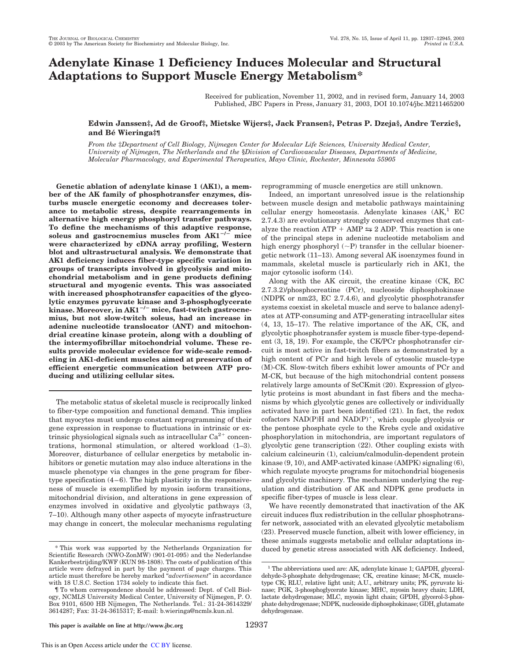# **Adenylate Kinase 1 Deficiency Induces Molecular and Structural Adaptations to Support Muscle Energy Metabolism\***

Received for publication, November 11, 2002, and in revised form, January 14, 2003 Published, JBC Papers in Press, January 31, 2003, DOI 10.1074/jbc.M211465200

## **Edwin Janssen‡, Ad de Groof‡, Mietske Wijers‡, Jack Fransen‡, Petras P. Dzeja§, Andre Terzic§, and Be´ Wieringa‡¶**

*From the* ‡*Department of Cell Biology, Nijmegen Center for Molecular Life Sciences, University Medical Center, University of Nijmegen, The Netherlands and the* §*Division of Cardiovascular Diseases, Departments of Medicine, Molecular Pharmacology, and Experimental Therapeutics, Mayo Clinic, Rochester, Minnesota 55905*

**Genetic ablation of adenylate kinase 1 (AK1), a member of the AK family of phosphotransfer enzymes, disturbs muscle energetic economy and decreases tolerance to metabolic stress, despite rearrangements in alternative high energy phosphoryl transfer pathways. To define the mechanisms of this adaptive response, soleus and gastrocnemius muscles from AK1/ mice were characterized by cDNA array profiling, Western blot and ultrastructural analysis. We demonstrate that AK1 deficiency induces fiber-type specific variation in groups of transcripts involved in glycolysis and mitochondrial metabolism and in gene products defining structural and myogenic events. This was associated with increased phosphotransfer capacities of the glycolytic enzymes pyruvate kinase and 3-phosphoglycerate** kinase. Moreover, in AK1<sup>-/-</sup> mice, fast-twitch gastrocne**mius, but not slow-twitch soleus, had an increase in adenine nucleotide translocator (ANT) and mitochondrial creatine kinase protein, along with a doubling of the intermyofibrillar mitochondrial volume. These results provide molecular evidence for wide-scale remodeling in AK1-deficient muscles aimed at preservation of efficient energetic communication between ATP producing and utilizing cellular sites.**

The metabolic status of skeletal muscle is reciprocally linked to fiber-type composition and functional demand. This implies that myocytes must undergo constant reprogramming of their gene expression in response to fluctuations in intrinsic or extrinsic physiological signals such as intracellular  $Ca^{2+}$  concentrations, hormonal stimulation, or altered workload (1–3). Moreover, disturbance of cellular energetics by metabolic inhibitors or genetic mutation may also induce alterations in the muscle phenotype via changes in the gene program for fibertype specification  $(4-6)$ . The high plasticity in the responsiveness of muscle is exemplified by myosin isoform transitions, mitochondrial division, and alterations in gene expression of enzymes involved in oxidative and glycolytic pathways (3, 7–10). Although many other aspects of myocyte infrastructure may change in concert, the molecular mechanisms regulating reprogramming of muscle energetics are still unknown.

Indeed, an important unresolved issue is the relationship between muscle design and metabolic pathways maintaining cellular energy homeostasis. Adenylate kinases  $(AK,^1)$  EC 2.7.4.3) are evolutionary strongly conserved enzymes that catalyze the reaction ATP  $+$  AMP  $\leq$  2 ADP. This reaction is one of the principal steps in adenine nucleotide metabolism and high energy phosphoryl  $(\sim P)$  transfer in the cellular bioenergetic network (11–13). Among several AK isoenzymes found in mammals, skeletal muscle is particularly rich in AK1, the major cytosolic isoform (14).

Along with the AK circuit, the creatine kinase (CK, EC 2.7.3.2)/phosphocreatine (PCr), nucleoside diphosphokinase (NDPK or nm23, EC 2.7.4.6), and glycolytic phosphotransfer systems coexist in skeletal muscle and serve to balance adenylates at ATP-consuming and ATP-generating intracellular sites (4, 13, 15–17). The relative importance of the AK, CK, and glycolytic phosphotransfer system is muscle fiber-type-dependent (3, 18, 19). For example, the CK/PCr phosphotransfer circuit is most active in fast-twitch fibers as demonstrated by a high content of PCr and high levels of cytosolic muscle-type (M)-CK. Slow-twitch fibers exhibit lower amounts of PCr and M-CK, but because of the high mitochondrial content possess relatively large amounts of ScCKmit (20). Expression of glycolytic proteins is most abundant in fast fibers and the mechanisms by which glycolytic genes are collectively or individually activated have in part been identified (21). In fact, the redox cofactors NAD(P)H and NAD(P)<sup>+</sup>, which couple glycolysis or the pentose phosphate cycle to the Krebs cycle and oxidative phosphorylation in mitochondria, are important regulators of glycolytic gene transcription (22). Other coupling exists with calcium calcineurin (1), calcium/calmodulin-dependent protein kinase (9, 10), and AMP-activated kinase (AMPK) signaling (6), which regulate myocyte programs for mitochondrial biogenesis and glycolytic machinery. The mechanism underlying the regulation and distribution of AK and NDPK gene products in specific fiber-types of muscle is less clear.

We have recently demonstrated that inactivation of the AK circuit induces flux redistribution in the cellular phosphotransfer network, associated with an elevated glycolytic metabolism (23). Preserved muscle function, albeit with lower efficiency, in these animals suggests metabolic and cellular adaptations in-\* This work was supported by the Netherlands Organization for duced by genetic stress associated with AK deficiency. Indeed,

Scientific Research (NWO-ZonMW) (901-01-095) and the Nederlandse Kankerbestrijding/KWF (KUN 98-1808). The costs of publication of this article were defrayed in part by the payment of page charges. This article must therefore be hereby marked "*advertisement*" in accordance with 18 U.S.C. Section 1734 solely to indicate this fact.

<sup>¶</sup> To whom correspondence should be addressed: Dept. of Cell Biology, NCMLS University Medical Center, University of Nijmegen, P. O. Box 9101, 6500 HB Nijmegen, The Netherlands. Tel.: 31-24-3614329/ 3614287; Fax: 31-24-3615317; E-mail: b.wieringa@ncmls.kun.nl.

<sup>&</sup>lt;sup>1</sup> The abbreviations used are: AK, adenylate kinase 1; GAPDH, glyceraldehyde-3-phosphate dehydrogenase; CK, creatine kinase; M-CK, muscletype CK; RLU, relative light unit; A.U., arbitrary units; PK, pyruvate kinase; PGK, 3-phosphoglycerate kinase; MHC, myosin heavy chain; LDH, lactate dehydrogenase; MLC, myosin light chain; GPDH, glycerol-3-phosphate dehydrogenase; NDPK, nucleoside diphosphokinase; GDH, glutamate dehydrogenase.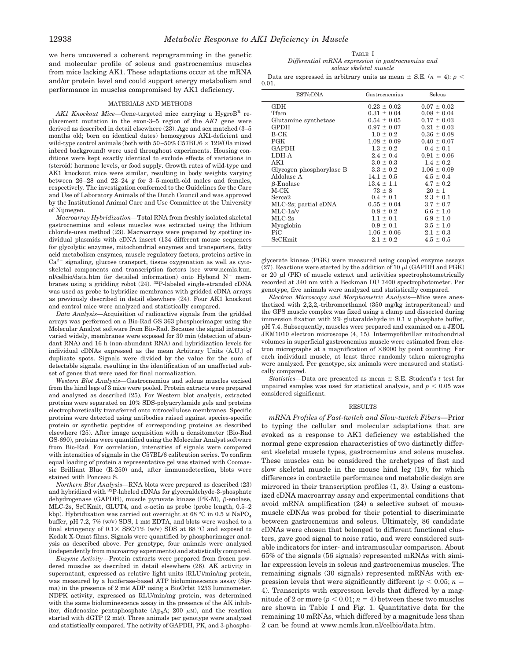we here uncovered a coherent reprogramming in the genetic and molecular profile of soleus and gastrocnemius muscles from mice lacking AK1. These adaptations occur at the mRNA and/or protein level and could support energy metabolism and performance in muscles compromised by AK1 deficiency.

#### MATERIALS AND METHODS

*AK1 Knockout Mice*—Gene-targeted mice carrying a HygroB<sup>R</sup> replacement mutation in the exon-3–5 region of the *AK1* gene were derived as described in detail elsewhere (23). Age and sex matched (3–5 months old; born on identical dates) homozygous AK1-deficient and wild-type control animals (both with  $50-50\%$  C57BL/6  $\times$  129/Ola mixed inbred background) were used throughout experiments. Housing conditions were kept exactly identical to exclude effects of variations in (steroid) hormone levels, or food supply. Growth rates of wild-type and AK1 knockout mice were similar, resulting in body weights varying between 26–28 and 22–24 g for 3–5-month-old males and females, respectively. The investigation conformed to the Guidelines for the Care and Use of Laboratory Animals of the Dutch Council and was approved by the Institutional Animal Care and Use Committee at the University of Nijmegen.

*Macroarray Hybridization—*Total RNA from freshly isolated skeletal gastrocnemius and soleus muscles was extracted using the lithium chloride-urea method (23). Macroarrays were prepared by spotting individual plasmids with cDNA insert (134 different mouse sequences for glycolytic enzymes, mitochondrial enzymes and transporters, fatty acid metabolism enzymes, muscle regulatory factors, proteins active in  $Ca<sup>2+</sup>$  signaling, glucose transport, tissue oxygenation as well as cytoskeletal components and transcription factors (see www.ncmls.kun. nl/celbio/data.htm for detailed information) onto Hybond  $N^+$  membranes using a gridding robot (24). 32P-labeled single-stranded cDNA was used as probe to hybridize membranes with gridded cDNA arrays as previously described in detail elsewhere (24). Four AK1 knockout and control mice were analyzed and statistically compared.

*Data Analysis—*Acquisition of radioactive signals from the gridded arrays was performed on a Bio-Rad GS 363 phosphorimager using the Molecular Analyst software from Bio-Rad. Because the signal intensity varied widely, membranes were exposed for 30 min (detection of abundant RNA) and 16 h (non-abundant RNA) and hybridization levels for individual cDNAs expressed as the mean Arbitrary Units (A.U.) of duplicate spots. Signals were divided by the value for the sum of detectable signals, resulting in the identification of an unaffected subset of genes that were used for final normalization.

*Western Blot Analysis—*Gastrocnemius and soleus muscles excised from the hind legs of 3 mice were pooled. Protein extracts were prepared and analyzed as described (25). For Western blot analysis, extracted proteins were separated on 10% SDS-polyacrylamide gels and proteins electrophoretically transferred onto nitrocellulose membranes. Specific proteins were detected using antibodies raised against species-specific protein or synthetic peptides of corresponding proteins as described elsewhere (25). After image acquisition with a densitometer (Bio-Rad GS-690), proteins were quantified using the Molecular Analyst software from Bio-Rad. For correlation, intensities of signals were compared with intensities of signals in the C57BL/6 calibration series. To confirm equal loading of protein a representative gel was stained with Coomassie Brilliant Blue (R-250) and, after immunodetection, blots were stained with Ponceau S.

*Northern Blot Analysis—*RNA blots were prepared as described (23) and hybridized with <sup>32</sup>P-labeled cDNAs for glyceraldehyde-3-phosphate dehydrogenase (GAPDH), muscle pyruvate kinase (PK-M),  $\beta$ -enolase, MLC-2s, ScCKmit, GLUT4, and  $\alpha$ -actin as probe (probe length, 0.5–2 kbp). Hybridization was carried out overnight at 68 °C in 0.5 M NaPO<sub>4</sub> buffer, pH 7.2,  $7\%$  (w/v) SDS, 1 mM EDTA, and blots were washed to a final stringency of  $0.1 \times$  SSC/1% (w/v) SDS at 68 °C and exposed to Kodak X-Omat films. Signals were quantified by phosphorimager analysis as described above. Per genotype, four animals were analyzed (independently from macroarray experiments) and statistically compared.

*Enzyme Activity—*Protein extracts were prepared from frozen powdered muscles as described in detail elsewhere (26). AK activity in supernatant, expressed as relative light units (RLU)/min/mg protein, was measured by a luciferase-based ATP bioluminescence assay (Sigma) in the presence of 2 mM ADP using a BioOrbit 1253 luminometer. NDPK activity, expressed as RLU/min/mg protein, was determined with the same bioluminescence assay in the presence of the AK inhibitor, diadenosine pentaphosphate (Ap<sub>5</sub>A; 200  $\mu$ M), and the reaction started with dGTP (2 mM). Three animals per genotype were analyzed and statistically compared. The activity of GAPDH, PK, and 3-phospho-

TABLE I *Differential mRNA expression in gastrocnemius and soleus skeletal muscle*

Data are expressed in arbitrary units as mean  $\pm$  S.E. (*n* = 4): *p* < 0.01.

| EST/cDNA                 | Gastrocnemius   | Soleus          |
|--------------------------|-----------------|-----------------|
| <b>GDH</b>               | $0.23 \pm 0.02$ | $0.07 \pm 0.02$ |
| Tfam                     | $0.31 \pm 0.04$ | $0.08 \pm 0.04$ |
| Glutamine synthetase     | $0.54 \pm 0.05$ | $0.17 \pm 0.03$ |
| <b>GPDH</b>              | $0.97 \pm 0.07$ | $0.21 \pm 0.03$ |
| $B-CK$                   | $1.0 \pm 0.2$   | $0.36 \pm 0.08$ |
| <b>PGK</b>               | $1.08 \pm 0.09$ | $0.40 \pm 0.07$ |
| <b>GAPDH</b>             | $1.3 \pm 0.2$   | $0.4 \pm 0.1$   |
| LDH-A                    | $2.4 \pm 0.4$   | $0.91 \pm 0.06$ |
| AK1                      | $3.0 \pm 0.3$   | $1.4 \pm 0.2$   |
| Glycogen phosphorylase B | $3.3 \pm 0.2$   | $1.06 \pm 0.09$ |
| Aldolase A               | $14.1 \pm 0.5$  | $4.5 \pm 0.4$   |
| $\beta$ -Enolase         | $13.4 \pm 1.1$  | $4.7 \pm 0.2$   |
| M-CK                     | $73 \pm 8$      | $20 \pm 1$      |
| Serca <sub>2</sub>       | $0.4 \pm 0.1$   | $2.3 \pm 0.1$   |
| MLC-2s; partial cDNA     | $0.55 \pm 0.04$ | $3.7 \pm 0.7$   |
| $MLC-1s/v$               | $0.8 \pm 0.2$   | $6.6 \pm 1.0$   |
| $MLC-2s$                 | $1.1 \pm 0.1$   | $6.9 \pm 1.0$   |
| Myoglobin                | $0.9 \pm 0.1$   | $3.5 \pm 1.0$   |
| Pic                      | $1.06 \pm 0.06$ | $2.1 \pm 0.3$   |
| ScCKmit                  | $2.1 \pm 0.2$   | $4.5 \pm 0.5$   |
|                          |                 |                 |

glycerate kinase (PGK) were measured using coupled enzyme assays (27). Reactions were started by the addition of 10  $\mu$ I (GAPDH and PGK) or 20  $\mu$  (PK) of muscle extract and activities spectrophotometrically recorded at 340 nm with a Beckman DU 7400 spectrophotometer. Per genotype, five animals were analyzed and statistically compared.

*Electron Microscopy and Morphometric Analysis—*Mice were anesthetized with 2,2,2,-tribromorthanol (350 mg/kg intraperitoneal) and the GPS muscle complex was fixed using a clamp and dissected during immersion fixation with 2% glutaraldehyde in 0.1 M phosphate buffer, pH 7.4. Subsequently, muscles were prepared and examined on a JEOL JEM1010 electron microscope (4, 15). Intermyofibrillar mitochondrial volumes in superficial gastrocnemius muscle were estimated from electron micrographs at a magnification of  $\times 8000$  by point counting. For each individual muscle, at least three randomly taken micrographs were analyzed. Per genotype, six animals were measured and statistically compared.

*Statistics*—Data are presented as mean  $\pm$  S.E. Student's *t* test for unpaired samples was used for statistical analysis, and  $p < 0.05$  was considered significant.

#### RESULTS

*mRNA Profiles of Fast-twitch and Slow-twitch Fibers—*Prior to typing the cellular and molecular adaptations that are evoked as a response to AK1 deficiency we established the normal gene expression characteristics of two distinctly different skeletal muscle types, gastrocnemius and soleus muscles. These muscles can be considered the archetypes of fast and slow skeletal muscle in the mouse hind leg (19), for which differences in contractile performance and metabolic design are mirrored in their transcription profiles (1, 3). Using a customized cDNA macroarray assay and experimental conditions that avoid mRNA amplification (24) a selective subset of mousemuscle cDNAs was probed for their potential to discriminate between gastrocnemius and soleus. Ultimately, 86 candidate cDNAs were chosen that belonged to different functional clusters, gave good signal to noise ratio, and were considered suitable indicators for inter- and intramuscular comparison. About 65% of the signals (56 signals) represented mRNAs with similar expression levels in soleus and gastrocnemius muscles. The remaining signals (30 signals) represented mRNAs with expression levels that were significantly different ( $p < 0.05$ ;  $n =$ 4). Transcripts with expression levels that differed by a magnitude of 2 or more  $(p < 0.01; n = 4)$  between these two muscles are shown in Table I and Fig. 1. Quantitative data for the remaining 10 mRNAs, which differed by a magnitude less than 2 can be found at www.ncmls.kun.nl/celbio/data.htm.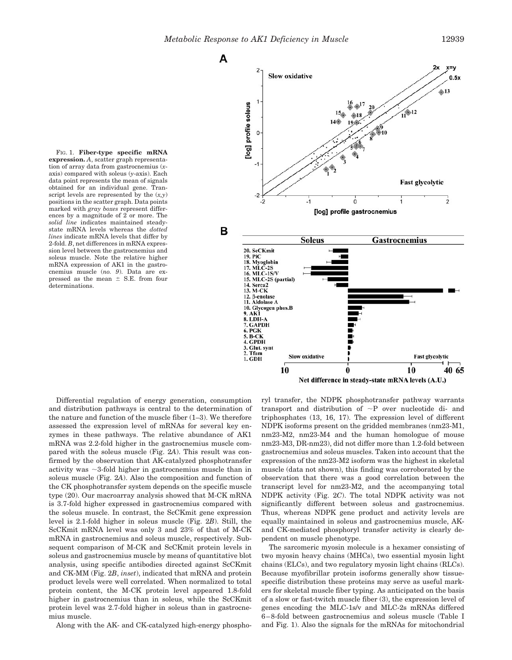FIG. 1. **Fiber-type specific mRNA expression.** *A*, scatter graph representation of array data from gastrocnemius (*x*axis) compared with soleus (*y*-axis). Each data point represents the mean of signals obtained for an individual gene. Transcript levels are represented by the (*x,y*) positions in the scatter graph. Data points marked with *gray boxes* represent differences by a magnitude of 2 or more. The *solid line* indicates maintained steadystate mRNA levels whereas the *dotted lines* indicate mRNA levels that differ by 2-fold. *B*, net differences in mRNA expression level between the gastrocnemius and soleus muscle. Note the relative higher mRNA expression of AK1 in the gastrocnemius muscle (*no. 9*). Data are expressed as the mean  $\pm$  S.E. from four determinations.



Differential regulation of energy generation, consumption and distribution pathways is central to the determination of the nature and function of the muscle fiber (1–3). We therefore assessed the expression level of mRNAs for several key enzymes in these pathways. The relative abundance of AK1 mRNA was 2.2-fold higher in the gastrocnemius muscle compared with the soleus muscle (Fig. 2*A*). This result was confirmed by the observation that AK-catalyzed phosphotransfer activity was  $\sim$ 3-fold higher in gastrocnemius muscle than in soleus muscle (Fig. 2*A*). Also the composition and function of the CK phosphotransfer system depends on the specific muscle type (20). Our macroarray analysis showed that M-CK mRNA is 3.7-fold higher expressed in gastrocnemius compared with the soleus muscle. In contrast, the ScCKmit gene expression level is 2.1-fold higher in soleus muscle (Fig. 2*B*). Still, the ScCKmit mRNA level was only 3 and 23% of that of M-CK mRNA in gastrocnemius and soleus muscle, respectively. Subsequent comparison of M-CK and ScCKmit protein levels in soleus and gastrocnemius muscle by means of quantitative blot analysis, using specific antibodies directed against ScCKmit and CK-MM (Fig. 2*B*, *inset*), indicated that mRNA and protein product levels were well correlated. When normalized to total protein content, the M-CK protein level appeared 1.8-fold higher in gastrocnemius than in soleus, while the ScCKmit protein level was 2.7-fold higher in soleus than in gastrocnemius muscle.

Along with the AK- and CK-catalyzed high-energy phospho-

ryl transfer, the NDPK phosphotransfer pathway warrants transport and distribution of -P over nucleotide di- and triphosphates (13, 16, 17). The expression level of different NDPK isoforms present on the gridded membranes (nm23-M1, nm23-M2, nm23-M4 and the human homologue of mouse nm23-M3, DR-nm23), did not differ more than 1.2-fold between gastrocnemius and soleus muscles. Taken into account that the expression of the nm23-M2 isoform was the highest in skeletal muscle (data not shown), this finding was corroborated by the observation that there was a good correlation between the transcript level for nm23-M2, and the accompanying total NDPK activity (Fig. 2*C*). The total NDPK activity was not significantly different between soleus and gastrocnemius. Thus, whereas NDPK gene product and activity levels are equally maintained in soleus and gastrocnemius muscle, AKand CK-mediated phosphoryl transfer activity is clearly dependent on muscle phenotype.

The sarcomeric myosin molecule is a hexamer consisting of two myosin heavy chains (MHCs), two essential myosin light chains (ELCs), and two regulatory myosin light chains (RLCs). Because myofibrillar protein isoforms generally show tissuespecific distribution these proteins may serve as useful markers for skeletal muscle fiber typing. As anticipated on the basis of a slow or fast-twitch muscle fiber (3), the expression level of genes encoding the MLC-1s/v and MLC-2s mRNAs differed 6–8-fold between gastrocnemius and soleus muscle (Table I and Fig. 1). Also the signals for the mRNAs for mitochondrial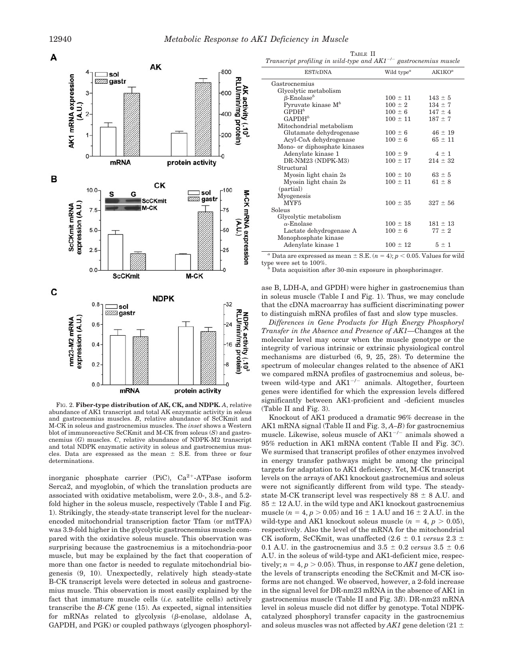

FIG. 2. **Fiber-type distribution of AK, CK, and NDPK.** *A*, relative abundance of AK1 transcript and total AK enzymatic activity in soleus and gastrocnemius muscles. *B*, relative abundance of ScCKmit and M-CK in soleus and gastrocnemius muscles. The *inset* shows a Western blot of immunoreactive ScCKmit and M-CK from soleus (*S*) and gastrocnemius (*G*) muscles. *C*, relative abundance of NDPK-M2 transcript and total NDPK enzymatic activity in soleus and gastrocnemius muscles. Data are expressed as the mean  $\pm$  S.E. from three or four determinations.

inorganic phosphate carrier (PiC),  $Ca^{2+}-ATP$ ase isoform Serca2, and myoglobin, of which the translation products are associated with oxidative metabolism, were 2.0-, 3.8-, and 5.2 fold higher in the soleus muscle, respectively (Table I and Fig. 1). Strikingly, the steady-state transcript level for the nuclearencoded mitochondrial transcription factor Tfam (or mtTFA) was 3.9-fold higher in the glycolytic gastrocnemius muscle compared with the oxidative soleus muscle. This observation was surprising because the gastrocnemius is a mitochondria-poor muscle, but may be explained by the fact that cooperation of more than one factor is needed to regulate mitochondrial biogenesis (9, 10). Unexpectedly, relatively high steady-state B-CK transcript levels were detected in soleus and gastrocnemius muscle. This observation is most easily explained by the fact that immature muscle cells (*i.e.* satellite cells) actively transcribe the *B-CK* gene (15). As expected, signal intensities for mRNAs related to glycolysis  $(\beta$ -enolase, aldolase A, GAPDH, and PGK) or coupled pathways (glycogen phosphoryl-

| TABLE II |                                                                        |
|----------|------------------------------------------------------------------------|
|          | Transcript profiling in wild-type and $AK1^{-/-}$ gastrocnemius muscle |

| EST/cDNA                      | Wild type <sup><math>a</math></sup> | AK1KO <sup>a</sup> |
|-------------------------------|-------------------------------------|--------------------|
| Gastrocnemius                 |                                     |                    |
| Glycolytic metabolism         |                                     |                    |
| $\beta$ -Enolase <sup>b</sup> | $100 \pm 11$                        | $143 \pm 5$        |
| Pyruvate kinase $M^b$         | $100 \pm 2$                         | $134 \pm 7$        |
| GPDH <sup>b</sup>             | $100 \pm 6$                         | $147 \pm 4$        |
| $GAPDH^b$                     | $100 \pm 11$                        | $187 \pm 7$        |
| Mitochondrial metabolism      |                                     |                    |
| Glutamate dehydrogenase       | $100 \pm 6$                         | $46 \pm 19$        |
| Acyl-CoA dehydrogenase        | $100 \pm 6$                         | $65 \pm 11$        |
| Mono- or diphosphate kinases  |                                     |                    |
| Adenylate kinase 1            | $100 \pm 9$                         | $4 \pm 1$          |
| DR-NM23 (NDPK-M3)             | $100 \pm 17$                        | $214 \pm 32$       |
| Structural                    |                                     |                    |
| Myosin light chain 2s         | $100 \pm 10$                        | $63 \pm 5$         |
| Myosin light chain 2s         | $100 \pm 11$                        | $61 \pm 8$         |
| (partial)                     |                                     |                    |
| Myogenesis                    |                                     |                    |
| MYF5                          | $100 \pm 35$                        | $327 \pm 56$       |
| Soleus                        |                                     |                    |
| Glycolytic metabolism         |                                     |                    |
| $\alpha$ -Enolase             | $100 \pm 18$                        | $181 \pm 13$       |
| Lactate dehydrogenase A       | $100 \pm 6$                         | $77 \pm 2$         |
| Monophosphate kinase          |                                     |                    |
| Adenylate kinase 1            | $100 \pm 12$                        | $5 \pm 1$          |

<sup>*a*</sup> Data are expressed as mean  $\pm$  S.E. (*n* = 4); *p* < 0.05. Values for wild type were set to 100%.

Data acquisition after 30-min exposure in phosphorimager.

ase B, LDH-A, and GPDH) were higher in gastrocnemius than in soleus muscle (Table I and Fig. 1). Thus, we may conclude that the cDNA macroarray has sufficient discriminating power to distinguish mRNA profiles of fast and slow type muscles.

*Differences in Gene Products for High Energy Phosphoryl Transfer in the Absence and Presence of AK1—*Changes at the molecular level may occur when the muscle genotype or the integrity of various intrinsic or extrinsic physiological control mechanisms are disturbed (6, 9, 25, 28). To determine the spectrum of molecular changes related to the absence of AK1 we compared mRNA profiles of gastrocnemius and soleus, between wild-type and  $AK1^{-/-}$  animals. Altogether, fourteen genes were identified for which the expression levels differed significantly between AK1-proficient and -deficient muscles (Table II and Fig. 3).

Knockout of AK1 produced a dramatic 96% decrease in the AK1 mRNA signal (Table II and Fig. 3, *A–B*) for gastrocnemius muscle. Likewise, soleus muscle of  $AK1^{-/-}$  animals showed a 95% reduction in AK1 mRNA content (Table II and Fig. 3*C*). We surmised that transcript profiles of other enzymes involved in energy transfer pathways might be among the principal targets for adaptation to AK1 deficiency. Yet, M-CK transcript levels on the arrays of AK1 knockout gastrocnemius and soleus were not significantly different from wild type. The steadystate M-CK transcript level was respectively  $88 \pm 8$  A.U. and  $85 \pm 12$  A.U. in the wild type and AK1 knockout gastrocnemius muscle ( $n = 4$ ,  $p > 0.05$ ) and  $16 \pm 1$  A.U and  $16 \pm 2$  A.U. in the wild-type and AK1 knockout soleus muscle ( $n = 4$ ,  $p > 0.05$ ), respectively. Also the level of the mRNA for the mitochondrial CK isoform, ScCKmit, was unaffected  $(2.6 \pm 0.1 \text{ versus } 2.3 \pm 1)$ 0.1 A.U. in the gastrocnemius and  $3.5 \pm 0.2$  *versus*  $3.5 \pm 0.6$ A.U. in the soleus of wild-type and AK1-deficient mice, respectively;  $n = 4$ ,  $p > 0.05$ ). Thus, in response to *AK1* gene deletion, the levels of transcripts encoding the ScCKmit and M-CK isoforms are not changed. We observed, however, a 2-fold increase in the signal level for DR-nm23 mRNA in the absence of AK1 in gastrocnemius muscle (Table II and Fig. 3*B*). DR-nm23 mRNA level in soleus muscle did not differ by genotype. Total NDPKcatalyzed phosphoryl transfer capacity in the gastrocnemius and soleus muscles was not affected by  $AK1$  gene deletion (21  $\pm$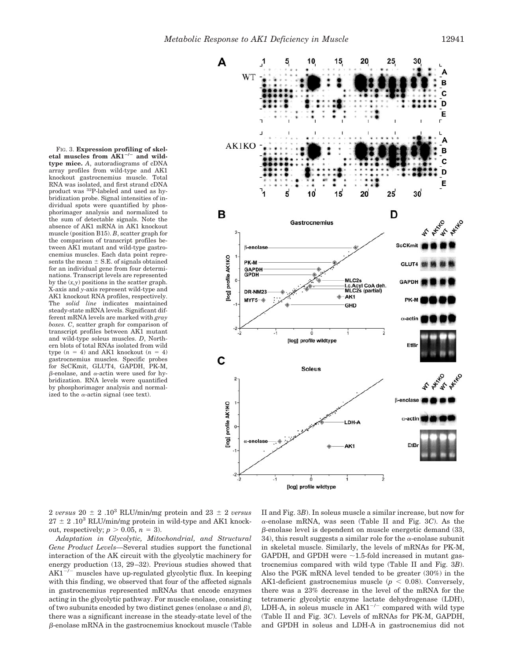nations. Transcript levels are represented by the (*x,y*) positions in the scatter graph. X-axis and *y*-axis represent wild-type and AK1 knockout RNA profiles, respectively. The *solid line* indicates maintained steady-state mRNA levels. Significant different mRNA levels are marked with *gray boxes. C*, scatter graph for comparison of transcript profiles between AK1 mutant and wild-type soleus muscles. *D*, Northern blots of total RNAs isolated from wild type  $(n = 4)$  and AK1 knockout  $(n = 4)$ gastrocnemius muscles. Specific probes for ScCKmit, GLUT4, GAPDH, PK-M,  $\beta$ -enolase, and  $\alpha$ -actin were used for hybridization. RNA levels were quantified by phosphorimager analysis and normalized to the  $\alpha$ -actin signal (see text).

FIG. 3. **Expression profiling of skel**etal muscles from AK1<sup>-/-</sup> and wild**type mice.** *A*, autoradiograms of cDNA array profiles from wild-type and AK1 knockout gastrocnemius muscle. Total RNA was isolated, and first strand cDNA product was 32P-labeled and used as hybridization probe. Signal intensities of individual spots were quantified by phosphorimager analysis and normalized to the sum of detectable signals. Note the absence of AK1 mRNA in AK1 knockout muscle (position B15). *B*, scatter graph for the comparison of transcript profiles between AK1 mutant and wild-type gastrocnemius muscles. Each data point represents the mean  $\pm$  S.E. of signals obtained for an individual gene from four determi-



2 *versus*  $20 \pm 2$  .10<sup>3</sup> RLU/min/mg protein and  $23 \pm 2$  *versus*  $27 \pm 2$ .10<sup>3</sup> RLU/min/mg protein in wild-type and AK1 knockout, respectively;  $p > 0.05$ ,  $n = 3$ ).

*Adaptation in Glycolytic, Mitochondrial, and Structural Gene Product Levels—*Several studies support the functional interaction of the AK circuit with the glycolytic machinery for energy production (13, 29–32). Previous studies showed that  $AK1^{-/-}$  muscles have up-regulated glycolytic flux. In keeping with this finding, we observed that four of the affected signals in gastrocnemius represented mRNAs that encode enzymes acting in the glycolytic pathway. For muscle enolase, consisting of two subunits encoded by two distinct genes (enolase  $\alpha$  and  $\beta$ ), there was a significant increase in the steady-state level of the  $\beta$ -enolase mRNA in the gastrocnemius knockout muscle (Table II and Fig. 3*B*). In soleus muscle a similar increase, but now for --enolase mRNA, was seen (Table II and Fig. 3*C*). As the  $\beta$ -enolase level is dependent on muscle energetic demand (33, 34), this result suggests a similar role for the  $\alpha$ -enolase subunit in skeletal muscle. Similarly, the levels of mRNAs for PK-M, GAPDH, and GPDH were  $\sim$ 1.5-fold increased in mutant gastrocnemius compared with wild type (Table II and Fig. 3*B*). Also the PGK mRNA level tended to be greater (30%) in the AK1-deficient gastrocnemius muscle ( $p < 0.08$ ). Conversely, there was a 23% decrease in the level of the mRNA for the tetrameric glycolytic enzyme lactate dehydrogenase (LDH), LDH-A, in soleus muscle in  $AK1^{-/-}$  compared with wild type (Table II and Fig. 3*C*). Levels of mRNAs for PK-M, GAPDH, and GPDH in soleus and LDH-A in gastrocnemius did not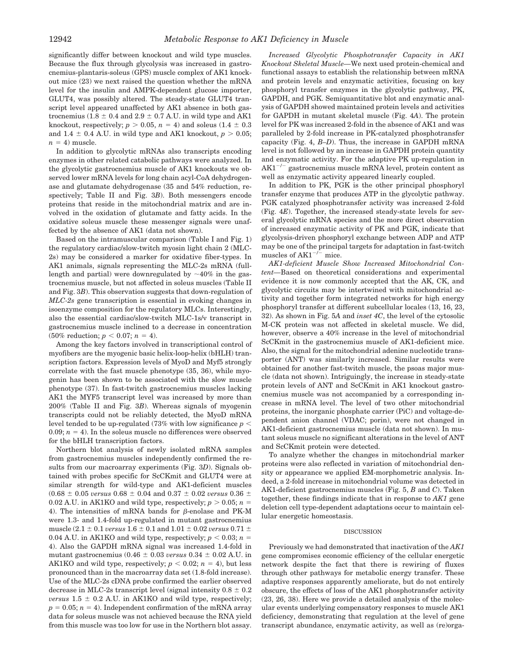significantly differ between knockout and wild type muscles. Because the flux through glycolysis was increased in gastrocnemius-plantaris-soleus (GPS) muscle complex of AK1 knockout mice (23) we next raised the question whether the mRNA level for the insulin and AMPK-dependent glucose importer, GLUT4, was possibly altered. The steady-state GLUT4 transcript level appeared unaffected by AK1 absence in both gastrocnemius (1.8  $\pm$  0.4 and 2.9  $\pm$  0.7 A.U. in wild type and AK1 knockout, respectively;  $p > 0.05$ ,  $n = 4$ ) and soleus (1.4  $\pm$  0.3) and 1.4  $\pm$  0.4 A.U. in wild type and AK1 knockout,  $p > 0.05$ ;  $n = 4$ ) muscle.

In addition to glycolytic mRNAs also transcripts encoding enzymes in other related catabolic pathways were analyzed. In the glycolytic gastrocnemius muscle of AK1 knockouts we observed lower mRNA levels for long chain acyl-CoA dehydrogenase and glutamate dehydrogenase (35 and 54% reduction, respectively; Table II and Fig. 3*B*). Both messengers encode proteins that reside in the mitochondrial matrix and are involved in the oxidation of glutamate and fatty acids. In the oxidative soleus muscle these messenger signals were unaffected by the absence of AK1 (data not shown).

Based on the intramuscular comparison (Table I and Fig. 1) the regulatory cardiac/slow-twitch myosin light chain 2 (MLC-2s) may be considered a marker for oxidative fiber-types. In AK1 animals, signals representing the MLC-2s mRNA (fulllength and partial) were downregulated by  $\sim$ 40% in the gastrocnemius muscle, but not affected in soleus muscles (Table II and Fig. 3*B*). This observation suggests that down-regulation of *MLC-2s* gene transcription is essential in evoking changes in isoenzyme composition for the regulatory MLCs. Interestingly, also the essential cardiac/slow-twitch MLC-1s/v transcript in gastrocnemius muscle inclined to a decrease in concentration  $(50\% \text{ reduction}; p < 0.07; n = 4).$ 

Among the key factors involved in transcriptional control of myofibers are the myogenic basic helix-loop-helix (bHLH) transcription factors. Expression levels of MyoD and Myf5 strongly correlate with the fast muscle phenotype (35, 36), while myogenin has been shown to be associated with the slow muscle phenotype (37). In fast-twitch gastrocnemius muscles lacking AK1 the MYF5 transcript level was increased by more than 200% (Table II and Fig. 3*B*). Whereas signals of myogenin transcripts could not be reliably detected, the MyoD mRNA level tended to be up-regulated (73% with low significance *p* 0.09;  $n = 4$ ). In the soleus muscle no differences were observed for the bHLH transcription factors.

Northern blot analysis of newly isolated mRNA samples from gastrocnemius muscles independently confirmed the results from our macroarray experiments (Fig. 3*D*). Signals obtained with probes specific for ScCKmit and GLUT4 were at similar strength for wild-type and AK1-deficient muscles  $(0.68 \pm 0.05 \text{ versus } 0.68 \pm 0.04 \text{ and } 0.37 \pm 0.02 \text{ versus } 0.36 \pm 0.04 \text{ and } 0.05 \pm 0.02 \text{ versus } 0.06 \pm 0.04 \text{ and } 0.07 \pm 0.02 \text{ versus } 0.07 \pm 0.02 \text{.}$ 0.02 A.U. in AK1KO and wild type, respectively;  $p > 0.05$ ;  $n =$ 4). The intensities of mRNA bands for  $\beta$ -enolase and PK-M were 1.3- and 1.4-fold up-regulated in mutant gastrocnemius muscle (2.1  $\pm$  0.1 *versus* 1.6  $\pm$  0.1 and 1.01  $\pm$  0.02 *versus* 0.71  $\pm$ 0.04 A.U. in AK1KO and wild type, respectively;  $p < 0.03$ ;  $n =$ 4). Also the GAPDH mRNA signal was increased 1.4-fold in mutant gastrocnemius  $(0.46 \pm 0.03 \text{ versus } 0.34 \pm 0.02 \text{ A}$ .U. in AK1KO and wild type, respectively;  $p < 0.02$ ;  $n = 4$ ), but less pronounced than in the macroarray data set (1.8-fold increase). Use of the MLC-2s cDNA probe confirmed the earlier observed decrease in MLC-2s transcript level (signal intensity  $0.8 \pm 0.2$ ) *versus*  $1.5 \pm 0.2$  A.U. in AK1KO and wild type, respectively;  $p = 0.05$ ;  $n = 4$ ). Independent confirmation of the mRNA array data for soleus muscle was not achieved because the RNA yield from this muscle was too low for use in the Northern blot assay.

*Increased Glycolytic Phosphotransfer Capacity in AK1 Knockout Skeletal Muscle—*We next used protein-chemical and functional assays to establish the relationship between mRNA and protein levels and enzymatic activities, focusing on key phosphoryl transfer enzymes in the glycolytic pathway, PK, GAPDH, and PGK. Semiquantitative blot and enzymatic analysis of GAPDH showed maintained protein levels and activities for GAPDH in mutant skeletal muscle (Fig. 4*A*). The protein level for PK was increased 2-fold in the absence of AK1 and was paralleled by 2-fold increase in PK-catalyzed phosphotransfer capacity (Fig. 4, *B–D*). Thus, the increase in GAPDH mRNA level is not followed by an increase in GAPDH protein quantity and enzymatic activity. For the adaptive PK up-regulation in  $AK1^{-/-}$  gastrocnemius muscle mRNA level, protein content as well as enzymatic activity appeared linearly coupled.

In addition to PK, PGK is the other principal phosphoryl transfer enzyme that produces ATP in the glycolytic pathway. PGK catalyzed phosphotransfer activity was increased 2-fold (Fig. 4*E*). Together, the increased steady-state levels for several glycolytic mRNA species and the more direct observation of increased enzymatic activity of PK and PGK, indicate that glycolysis-driven phosphoryl exchange between ADP and ATP may be one of the principal targets for adaptation in fast-twitch muscles of  $AK1^{-/-}$  mice.

*AK1-deficient Muscle Show Increased Mitochondrial Content—*Based on theoretical considerations and experimental evidence it is now commonly accepted that the AK, CK, and glycolytic circuits may be intertwined with mitochondrial activity and together form integrated networks for high energy phosphoryl transfer at different subcellular locales (13, 16, 23, 32). As shown in Fig. 5*A* and *inset 4C*, the level of the cytosolic M-CK protein was not affected in skeletal muscle. We did, however, observe a 40% increase in the level of mitochondrial ScCKmit in the gastrocnemius muscle of AK1-deficient mice. Also, the signal for the mitochondrial adenine nucleotide transporter (ANT) was similarly increased. Similar results were obtained for another fast-twitch muscle, the psoas major muscle (data not shown). Intriguingly, the increase in steady-state protein levels of ANT and ScCKmit in AK1 knockout gastrocnemius muscle was not accompanied by a corresponding increase in mRNA level. The level of two other mitochondrial proteins, the inorganic phosphate carrier (PiC) and voltage-dependent anion channel (VDAC; porin), were not changed in AK1-deficient gastrocnemius muscle (data not shown). In mutant soleus muscle no significant alterations in the level of ANT and ScCKmit protein were detected.

To analyze whether the changes in mitochondrial marker proteins were also reflected in variation of mitochondrial density or appearance we applied EM-morphometric analysis. Indeed, a 2-fold increase in mitochondrial volume was detected in AK1-deficient gastrocnemius muscles (Fig. 5, *B* and *C*). Taken together, these findings indicate that in response to *AK1* gene deletion cell type-dependent adaptations occur to maintain cellular energetic homeostasis.

### DISCUSSION

Previously we had demonstrated that inactivation of the *AK1* gene compromises economic efficiency of the cellular energetic network despite the fact that there is rewiring of fluxes through other pathways for metabolic energy transfer. These adaptive responses apparently ameliorate, but do not entirely obscure, the effects of loss of the AK1 phosphotransfer activity (23, 26, 38). Here we provide a detailed analysis of the molecular events underlying compensatory responses to muscle AK1 deficiency, demonstrating that regulation at the level of gene transcript abundance, enzymatic activity, as well as (re)orga-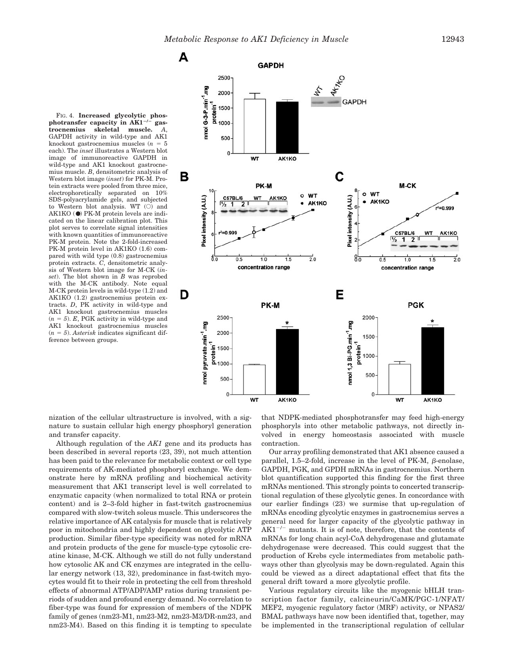FIG. 4. **Increased glycolytic phos-<br>photransfer capacity in AK1<sup>-/-</sup> gas** $trocnemius$  skeletal muscle. GAPDH activity in wild-type and AK1 knockout gastrocnemius muscles ( $n = 5$ each). The *inset* illustrates a Western blot image of immunoreactive GAPDH in wild-type and AK1 knockout gastrocnemius muscle. *B*, densitometric analysis of Western blot image (*inset*) for PK-M. Protein extracts were pooled from three mice, electrophoretically separated on  $10\%$ SDS-polyacrylamide gels, and subjected to Western blot analysis. WT  $(O)$  and AK1KO (●) PK-M protein levels are indicated on the linear calibration plot. This plot serves to correlate signal intensities with known quantities of immunoreactive PK-M protein. Note the 2-fold-increased PK-M protein level in AK1KO (1.6) compared with wild type (0.8) gastrocnemius protein extracts. *C*, densitometric analysis of Western blot image for M-CK (*inset*). The blot shown in *B* was reprobed with the M-CK antibody. Note equal M-CK protein levels in wild-type (1.2) and AK1KO (1.2) gastrocnemius protein extracts. *D*, PK activity in wild-type and AK1 knockout gastrocnemius muscles  $(n = 5)$ . *E*, PGK activity in wild-type and AK1 knockout gastrocnemius muscles  $(n = 5)$ . *Asterisk* indicates significant difference between groups.



nization of the cellular ultrastructure is involved, with a signature to sustain cellular high energy phosphoryl generation and transfer capacity.

Although regulation of the *AK1* gene and its products has been described in several reports (23, 39), not much attention has been paid to the relevance for metabolic context or cell type requirements of AK-mediated phosphoryl exchange. We demonstrate here by mRNA profiling and biochemical activity measurement that AK1 transcript level is well correlated to enzymatic capacity (when normalized to total RNA or protein content) and is 2–3-fold higher in fast-twitch gastrocnemius compared with slow-twitch soleus muscle. This underscores the relative importance of AK catalysis for muscle that is relatively poor in mitochondria and highly dependent on glycolytic ATP production. Similar fiber-type specificity was noted for mRNA and protein products of the gene for muscle-type cytosolic creatine kinase, M-CK. Although we still do not fully understand how cytosolic AK and CK enzymes are integrated in the cellular energy network (13, 32), predominance in fast-twitch myocytes would fit to their role in protecting the cell from threshold effects of abnormal ATP/ADP/AMP ratios during transient periods of sudden and profound energy demand. No correlation to fiber-type was found for expression of members of the NDPK family of genes (nm23-M1, nm23-M2, nm23-M3/DR-nm23, and nm23-M4). Based on this finding it is tempting to speculate

that NDPK-mediated phosphotransfer may feed high-energy phosphoryls into other metabolic pathways, not directly involved in energy homeostasis associated with muscle contraction.

Our array profiling demonstrated that AK1 absence caused a parallel,  $1.5-2$ -fold, increase in the level of PK-M,  $\beta$ -enolase, GAPDH, PGK, and GPDH mRNAs in gastrocnemius. Northern blot quantification supported this finding for the first three mRNAs mentioned. This strongly points to concerted transcriptional regulation of these glycolytic genes. In concordance with our earlier findings (23) we surmise that up-regulation of mRNAs encoding glycolytic enzymes in gastrocnemius serves a general need for larger capacity of the glycolytic pathway in  $AK1^{-/-}$  mutants. It is of note, therefore, that the contents of mRNAs for long chain acyl-CoA dehydrogenase and glutamate dehydrogenase were decreased. This could suggest that the production of Krebs cycle intermediates from metabolic pathways other than glycolysis may be down-regulated. Again this could be viewed as a direct adaptational effect that fits the general drift toward a more glycolytic profile.

Various regulatory circuits like the myogenic bHLH transcription factor family, calcineurin/CaMK/PGC-1/NFAT/ MEF2, myogenic regulatory factor (MRF) activity, or NPAS2/ BMAL pathways have now been identified that, together, may be implemented in the transcriptional regulation of cellular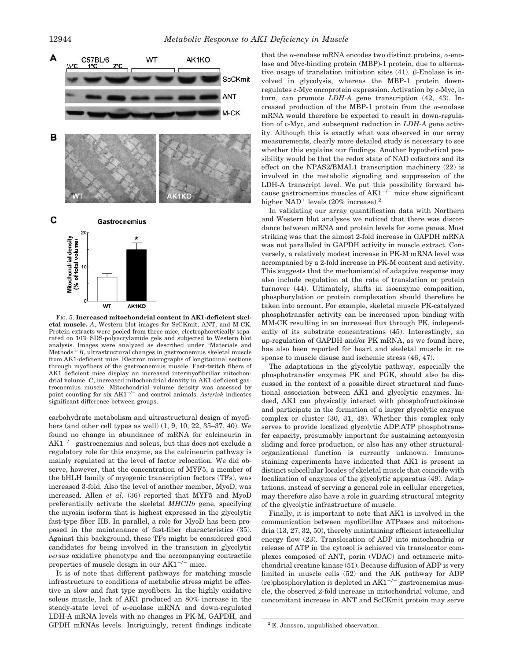

FIG. 5. **Increased mitochondrial content in AK1-deficient skeletal muscle.** *A*, Western blot images for ScCKmit, ANT, and M-CK. Protein extracts were pooled from three mice, electrophoretically separated on 10% SDS-polyacrylamide gels and subjected to Western blot analysis. Images were analyzed as described under "Materials and Methods." *B*, ultrastructural changes in gastrocnemius skeletal muscle from AK1-deficient mice. Electron micrographs of longitudinal sections through myofibers of the gastrocnemius muscle. Fast-twitch fibers of AK1 deficient mice display an increased intermyofibrillar mitochondrial volume. *C*, increased mitochondrial density in AK1-deficient gastrocnemius muscle. Mitochondrial volume density was assessed by point counting for six  $AK1^{-/-}$  and control animals. *Asterisk* indicates significant difference between groups.

carbohydrate metabolism and ultrastructural design of myofibers (and other cell types as well) (1, 9, 10, 22, 35–37, 40). We found no change in abundance of mRNA for calcineurin in  $AK1^{-/-}$  gastrocnemius and soleus, but this does not exclude a regulatory role for this enzyme, as the calcineurin pathway is mainly regulated at the level of factor relocation. We did observe, however, that the concentration of MYF5, a member of the bHLH family of myogenic transcription factors (TFs), was increased 3-fold. Also the level of another member, MyoD, was increased. Allen *et al.* (36) reported that MYF5 and MyoD preferentially activate the skeletal *MHCIIb* gene, specifying the myosin isoform that is highest expressed in the glycolytic fast-type fiber IIB. In parallel, a role for MyoD has been proposed in the maintenance of fast-fiber characteristics (35). Against this background, these TFs might be considered good candidates for being involved in the transition in glycolytic *versus* oxidative phenotype and the accompanying contractile properties of muscle design in our  $AK1^{-/-}$  mice.

It is of note that different pathways for matching muscle infrastructure to conditions of metabolic stress might be effective in slow and fast type myofibers. In the highly oxidative soleus muscle, lack of AK1 produced an 80% increase in the steady-state level of  $\alpha$ -enolase mRNA and down-regulated LDH-A mRNA levels with no changes in PK-M, GAPDH, and GPDH mRNAs levels. Intriguingly, recent findings indicate

that the  $\alpha$ -enolase mRNA encodes two distinct proteins,  $\alpha$ -enolase and Myc-binding protein (MBP)-1 protein, due to alternative usage of translation initiation sites  $(41)$ .  $\beta$ -Enolase is involved in glycolysis, whereas the MBP-1 protein downregulates c-Myc oncoprotein expression. Activation by c-Myc, in turn, can promote *LDH-A* gene transcription (42, 43). Increased production of the MBP-1 protein from the  $\alpha$ -enolase mRNA would therefore be expected to result in down-regulation of c-Myc, and subsequent reduction in *LDH-A* gene activity. Although this is exactly what was observed in our array measurements, clearly more detailed study is necessary to see whether this explains our findings. Another hypothetical possibility would be that the redox state of NAD cofactors and its effect on the NPAS2/BMAL1 transcription machinery (22) is involved in the metabolic signaling and suppression of the LDH-A transcript level. We put this possibility forward because gastrocnemius muscles of  $AK1^{-/-}$  mice show significant higher NAD<sup>+</sup> levels  $(20\%$  increase).<sup>2</sup>

In validating our array quantification data with Northern and Western blot analyses we noticed that there was discordance between mRNA and protein levels for some genes. Most striking was that the almost 2-fold increase in GAPDH mRNA was not paralleled in GAPDH activity in muscle extract. Conversely, a relatively modest increase in PK-M mRNA level was accompanied by a 2-fold increase in PK-M content and activity. This suggests that the mechanism(s) of adaptive response may also include regulation at the rate of translation or protein turnover (44). Ultimately, shifts in isoenzyme composition, phosphorylation or protein complexation should therefore be taken into account. For example, skeletal muscle PK-catalyzed phosphotransfer activity can be increased upon binding with MM-CK resulting in an increased flux through PK, independently of its substrate concentrations (45). Interestingly, an up-regulation of GAPDH and/or PK mRNA, as we found here, has also been reported for heart and skeletal muscle in response to muscle disuse and ischemic stress (46, 47).

The adaptations in the glycolytic pathway, especially the phosphotransfer enzymes PK and PGK, should also be discussed in the context of a possible direct structural and functional association between AK1 and glycolytic enzymes. Indeed, AK1 can physically interact with phosphofructokinase and participate in the formation of a larger glycolytic enzyme complex or cluster (30, 31, 48). Whether this complex only serves to provide localized glycolytic ADP:ATP phosphotransfer capacity, presumably important for sustaining actomyosin sliding and force production, or also has any other structuralorganizational function is currently unknown. Immunostaining experiments have indicated that AK1 is present in distinct subcellular locales of skeletal muscle that coincide with localization of enzymes of the glycolytic apparatus (49). Adaptations, instead of serving a general role in cellular energetics, may therefore also have a role in guarding structural integrity of the glycolytic infrastructure of muscle.

Finally, it is important to note that AK1 is involved in the communication between myofibrillar ATPases and mitochondria (13, 27, 32, 50), thereby maintaining efficient intracellular energy flow (23). Translocation of ADP into mitochondria or release of ATP in the cytosol is achieved via translocator complexes composed of ANT, porin (VDAC) and octameric mitochondrial creatine kinase (51). Because diffusion of ADP is very limited in muscle cells (52) and the AK pathway for ADP (re)phosphorylation is depleted in  $AK1^{-/-}$  gastrocnemius muscle, the observed 2-fold increase in mitochondrial volume, and concomitant increase in ANT and ScCKmit protein may serve

 $2 E.$  Janssen, unpublished observation.